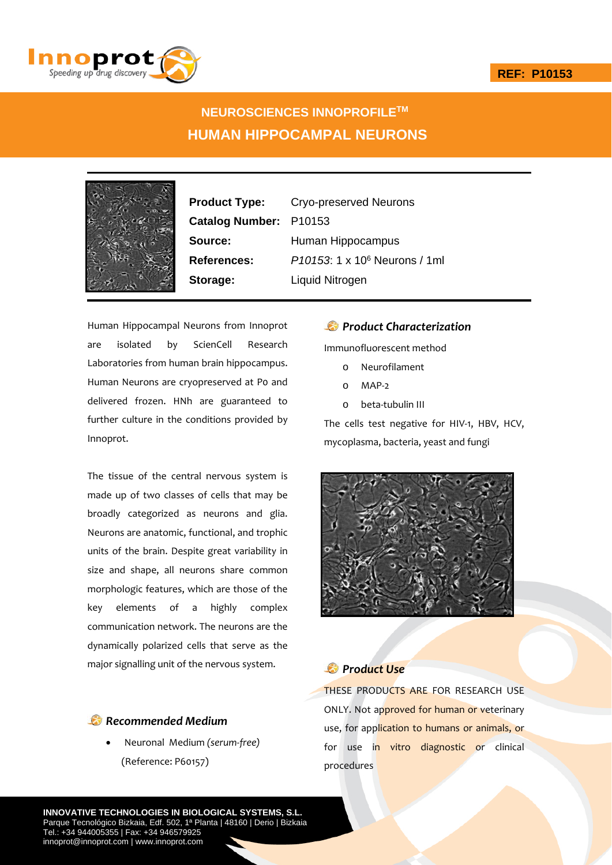

# **NEUROSCIENCES INNOPROFILETM HUMAN HIPPOCAMPAL NEURONS**



**Catalog Number:** P10153

**Product Type:** Cryo-preserved Neurons **Source:** Human Hippocampus **References:** *P10153*: 1 x 106 Neurons / 1ml **Storage:** Liquid Nitrogen

Human Hippocampal Neurons from Innoprot are isolated by ScienCell Research Laboratories from human brain hippocampus. Human Neurons are cryopreserved at P0 and delivered frozen. HNh are guaranteed to further culture in the conditions provided by Innoprot.

The tissue of the central nervous system is made up of two classes of cells that may be broadly categorized as neurons and glia. Neurons are anatomic, functional, and trophic units of the brain. Despite great variability in size and shape, all neurons share common morphologic features, which are those of the key elements of a highly complex communication network. The neurons are the dynamically polarized cells that serve as the major signalling unit of the nervous system.

### *Recommended Medium*

 Neuronal Medium *(serum‐free)* (Reference: P60157)

#### *Product Characterization*

Immunofluorescent method

- o Neurofilament
- o MAP‐2
- o beta‐tubulin III

The cells test negative for HIV-1, HBV, HCV, mycoplasma, bacteria, yeast and fungi



## *Product Use*

THESE PRODUCTS ARE FOR RESEARCH USE ONLY. Not approved for human or veterinary use, for application to humans or animals, or for use in vitro diagnostic or clinical procedures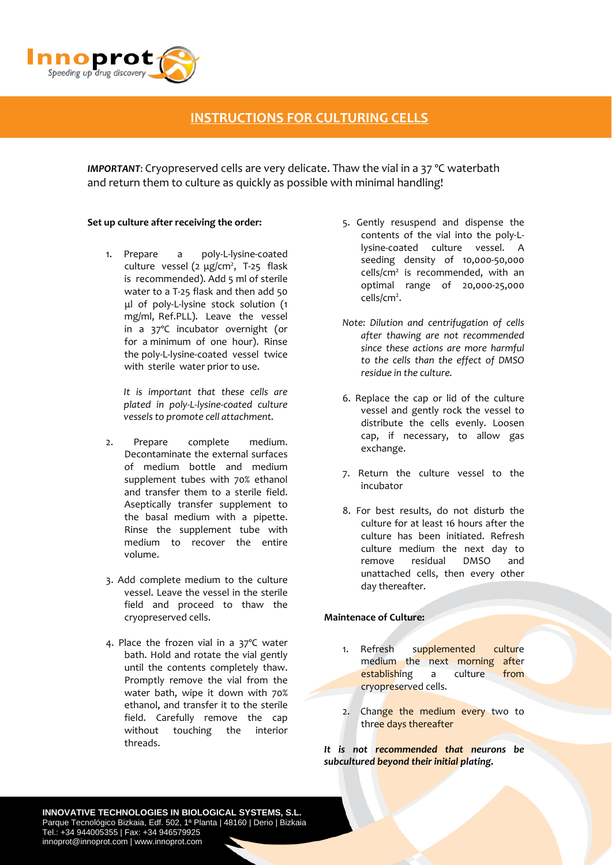

# **INSTRUCTIONS FOR CULTURING CELLS**

*IMPORTANT*: Cryopreserved cells are very delicate. Thaw the vial in a 37 ºC waterbath and return them to culture as quickly as possible with minimal handling!

#### **Set up culture after receiving the order:**

1. Prepare a poly‐L‐lysine‐coated culture vessel  $(2 \mu g/cm^2, T-25 \text{ flask})$ is recommended). Add 5 ml of sterile water to a T‐25 flask and then add 50 μl of poly‐L‐lysine stock solution (1 mg/ml, Ref.PLL). Leave the vessel in a 37°C incubator overnight (or for a minimum of one hour). Rinse the poly‐L‐lysine‐coated vessel twice with sterile water prior to use.

*It is important that these cells are plated in poly‐L‐lysine‐coated culture vessels to promote cell attachment.*

- 2. Prepare complete medium. Decontaminate the external surfaces of medium bottle and medium supplement tubes with 70% ethanol and transfer them to a sterile field. Aseptically transfer supplement to the basal medium with a pipette. Rinse the supplement tube with medium to recover the entire volume.
- 3. Add complete medium to the culture vessel. Leave the vessel in the sterile field and proceed to thaw the cryopreserved cells.
- 4. Place the frozen vial in a 37ºC water bath. Hold and rotate the vial gently until the contents completely thaw. Promptly remove the vial from the water bath, wipe it down with 70% ethanol, and transfer it to the sterile field. Carefully remove the cap without touching the interior threads.
- 5. Gently resuspend and dispense the contents of the vial into the poly‐L‐ lysine‐coated culture vessel. A seeding density of 10,000‐50,000  $cells/cm<sup>2</sup>$  is recommended, with an optimal range of 20,000‐25,000 cells/cm<sup>2</sup>.
- *Note: Dilution and centrifugation of cells after thawing are not recommended since these actions are more harmful to the cells than the effect of DMSO residue in the culture.*
- 6. Replace the cap or lid of the culture vessel and gently rock the vessel to distribute the cells evenly. Loosen cap, if necessary, to allow gas exchange.
- 7. Return the culture vessel to the incubator
- 8. For best results, do not disturb the culture for at least 16 hours after the culture has been initiated. Refresh culture medium the next day to remove residual DMSO and unattached cells, then every other day thereafter.

#### **Maintenace of Culture:**

- 1. Refresh supplemented culture medium the next morning after establishing a culture from cryopreserved cells.
- 2. Change the medium every two to three days thereafter

*It is not recommended that neurons be subcultured beyond their initial plating.*